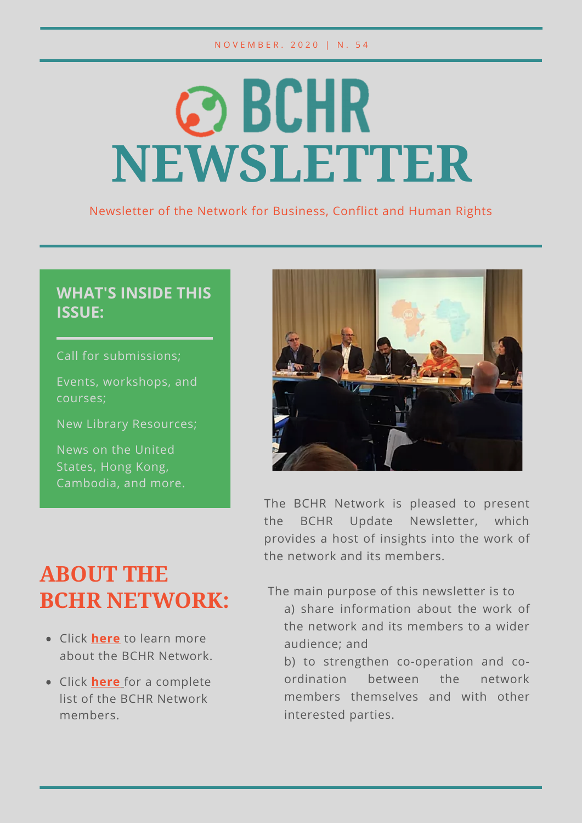# © BCHR **NEWSLETTER**

Newsletter of the Network for Business, Conflict and Human Rights

#### **WHAT'S INSIDE THIS ISSUE:**

Call for submissions;

Events, workshops, and courses;

New Library Resources;

News on the United States, Hong Kong, Cambodia, and more.



The BCHR Network is pleased to present the BCHR Update Newsletter, which provides a host of insights into the work of the network and its members.

### **ABOUT THE BCHR NETWORK:**

- Click **[here](https://www.networkbchr.org/)** to learn more about the BCHR Network.
- Click **[here](https://f998e6ff-677d-4bc8-acec-99f1a281683a.filesusr.com/ugd/e6086f_51bb4cc961934dda90353e65cc8e44d6.pdf)** [f](https://f998e6ff-677d-4bc8-acec-99f1a281683a.filesusr.com/ugd/e6086f_51bb4cc961934dda90353e65cc8e44d6.pdf)or a complete list of the BCHR Network members.

The main purpose of this newsletter is to

- a) share information about the work of the network and its members to a wider audience; and
- b) to strengthen co-operation and coordination between the network members themselves and with other interested parties.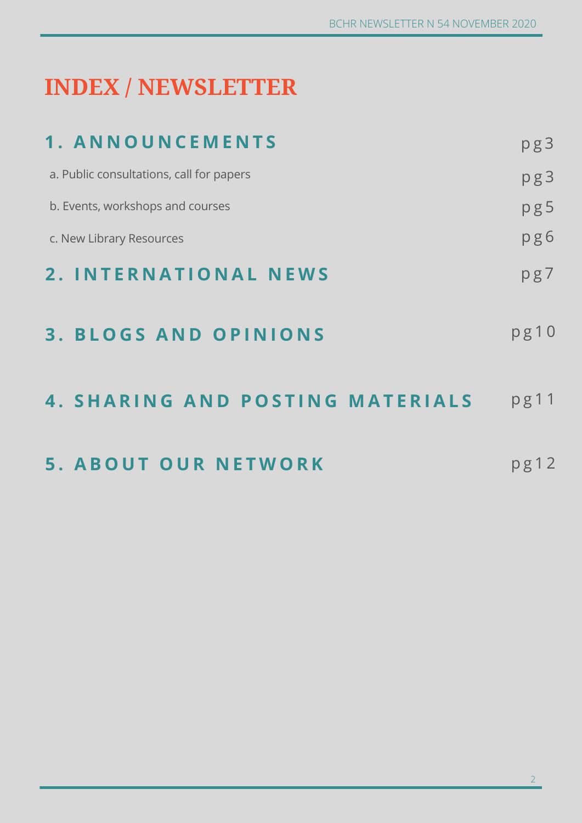# **INDEX / NEWSLETTER**

| 1. ANNOUNCEMENTS                         | pg3  |
|------------------------------------------|------|
| a. Public consultations, call for papers | pg3  |
| b. Events, workshops and courses         | pg5  |
| c. New Library Resources                 | pg6  |
| 2. INTERNATIONAL NEWS                    | pg7  |
| <b>3. BLOGS AND OPINIONS</b>             | pg10 |
| <b>4. SHARING AND POSTING MATERIALS</b>  | pg11 |
| <b>5. ABOUT OUR NETWORK</b>              | pg12 |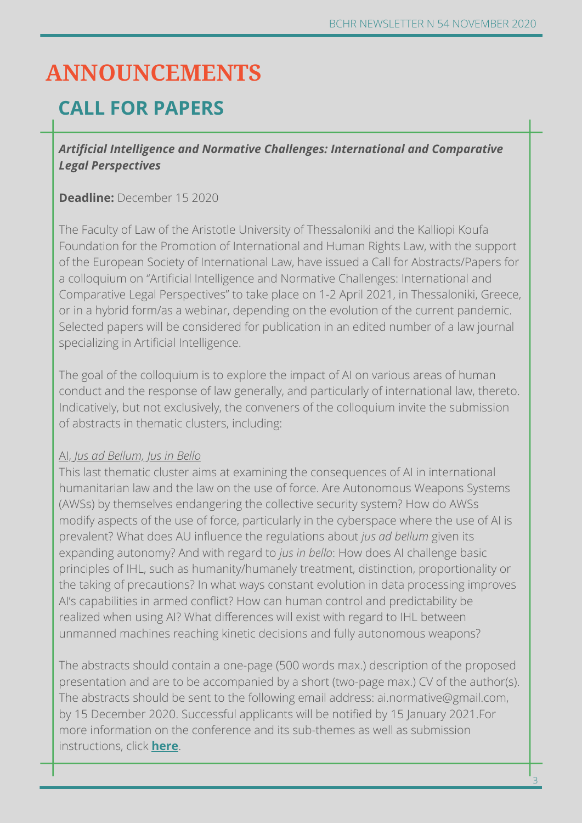### **ANNOUNCEMENTS**

### **CALL FOR PAPERS**

#### *Artificial Intelligence and Normative Challenges: International and Comparative Legal Perspectives*

#### **Deadline:** December 15 2020

The Faculty of Law of the Aristotle University of Thessaloniki and the Kalliopi Koufa Foundation for the Promotion of International and Human Rights Law, with the support of the European Society of International Law, have issued a Call for Abstracts/Papers for a colloquium on "Artificial Intelligence and Normative Challenges: International and Comparative Legal Perspectives" to take place on 1-2 April 2021, in Thessaloniki, Greece, or in a hybrid form/as a webinar, depending on the evolution of the current pandemic. Selected papers will be considered for publication in an edited number of a law journal specializing in Artificial Intelligence.

The goal of the colloquium is to explore the impact of AI on various areas of human conduct and the response of law generally, and particularly of international law, thereto. Indicatively, but not exclusively, the conveners of the colloquium invite the submission of abstracts in thematic clusters, including:

#### AI, *Jus ad Bellum, Jus in Bello*

This last thematic cluster aims at examining the consequences of AI in international humanitarian law and the law on the use of force. Are Autonomous Weapons Systems (AWSs) by themselves endangering the collective security system? How do AWSs modify aspects of the use of force, particularly in the cyberspace where the use of AI is prevalent? What does AU influence the regulations about *jus ad bellum* given its expanding autonomy? And with regard to *jus in bello*: How does AI challenge basic principles of IHL, such as humanity/humanely treatment, distinction, proportionality or the taking of precautions? In what ways constant evolution in data processing improves AI's capabilities in armed conflict? How can human control and predictability be realized when using AI? What differences will exist with regard to IHL between unmanned machines reaching kinetic decisions and fully autonomous weapons?

The abstracts should contain a one-page (500 words max.) description of the proposed presentation and are to be accompanied by a short (two-page max.) CV of the author(s). The abstracts should be sent to the following email address: ai.normative@gmail.com, by 15 December 2020. Successful applicants will be notified by 15 January 2021.For more information on the conference and its sub-themes as well as submission instructions, click **[here](https://www.law.auth.gr/sites/default/files/CALL.pdf)**.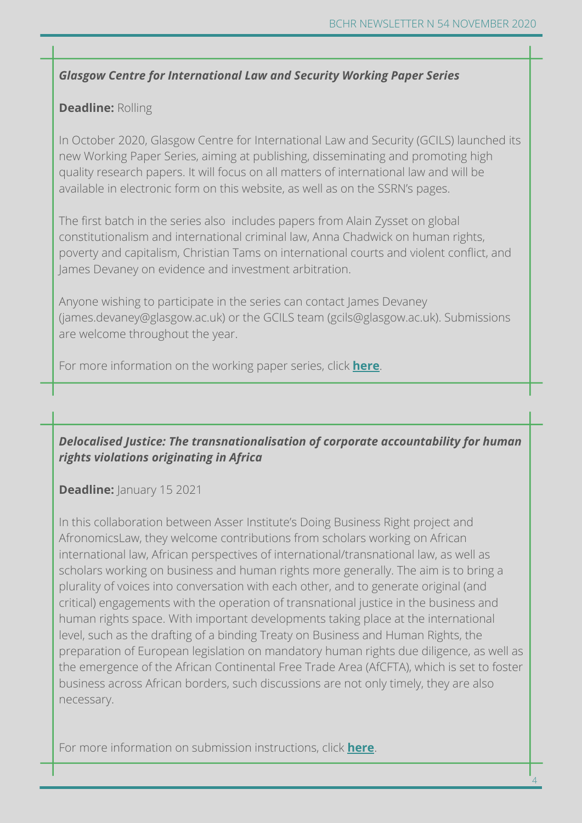#### *Glasgow Centre for International Law and Security Working Paper Series*

#### **Deadline:** Rolling

In October 2020, Glasgow Centre for International Law and Security (GCILS) launched its new Working Paper Series, aiming at publishing, disseminating and promoting high quality research papers. It will focus on all matters of international law and will be available in electronic form on this website, as well as on the SSRN's pages.

The first batch in the series also includes papers from Alain Zysset on global constitutionalism and international criminal law, Anna Chadwick on human rights, poverty and capitalism, Christian Tams on international courts and violent conflict, and James Devaney on evidence and investment arbitration.

Anyone wishing to participate in the series can contact James Devaney (james.devaney@glasgow.ac.uk) or the GCILS team (gcils@glasgow.ac.uk). Submissions are welcome throughout the year.

For more information on the working paper series, click **[here](https://gcils.org/gcils-working-paper-series/)**.

#### *Delocalised Justice: The transnationalisation of corporate accountability for human rights violations originating in Africa*

#### **Deadline:** January 15 2021

In this collaboration between Asser Institute's Doing Business Right project and AfronomicsLaw, they welcome contributions from scholars working on African international law, African perspectives of international/transnational law, as well as scholars working on business and human rights more generally. The aim is to bring a plurality of voices into conversation with each other, and to generate original (and critical) engagements with the operation of transnational justice in the business and human rights space. With important developments taking place at the international level, such as the drafting of a binding Treaty on Business and Human Rights, the preparation of European legislation on mandatory human rights due diligence, as well as the emergence of the African Continental Free Trade Area (AfCFTA), which is set to foster business across African borders, such discussions are not only timely, they are also necessary.

For more information on submission instructions, click **[here](https://www.asser.nl/DoingBusinessRight/Blog/post/call-for-papers-delocalised-justice-the-transnationalisation-of-corporate-accountability-for-human-rights-violations-originating-in-africa-deadline-15-january-2021)**.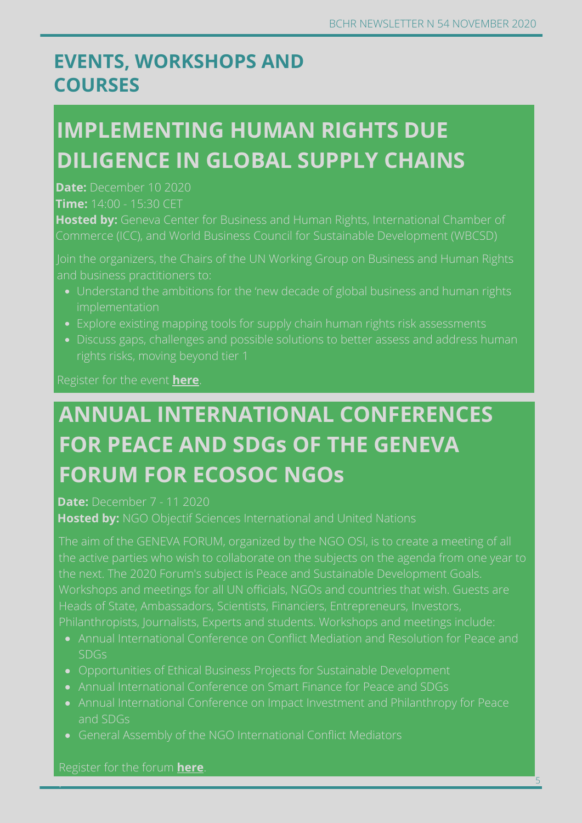5

### **EVENTS, WORKSHOPS AND COURSES**

# **IMPLEMENTING HUMAN RIGHTS DUE DILIGENCE IN GLOBAL SUPPLY CHAINS**

**Date:** December 10 2020 **Time:** 14:00 - 15:30 CET

**Hosted by:** Geneva Center for Business and Human Rights, International Chamber of

and business practitioners to:

- implementation
- 
- 

Register for the event **[here](https://wbcsd.secure.force.com/GuestEventPageV2?aId=a5s5p0000000Iqp)**.

# **ANNUAL INTERNATIONAL CONFERENCES FOR PEACE AND SDGs OF THE GENEVA FORUM FOR ECOSOC NGOs**

**Date:** December 7 - 11 2020

**Hosted by:** NGO Objectif Sciences International and United Nations

The aim of the GENEVA FORUM, organized by the NGO OSI, is to create a meeting of all the next. The 2020 Forum's subject is Peace and Sustainable Development Goals. Heads of State, Ambassadors, Scientists, Financiers, Entrepreneurs, Investors,

Annual International Conference on Conflict Mediation and Resolution for Peace and

- SDGs
- Opportunities of Ethical Business Projects for Sustainable Development
- 
- and SDGs
- 

Register for the forum **[here](http://www.osi-genevaforum.org/Registration.html?lang=en#outil_sommaire_4)**.

.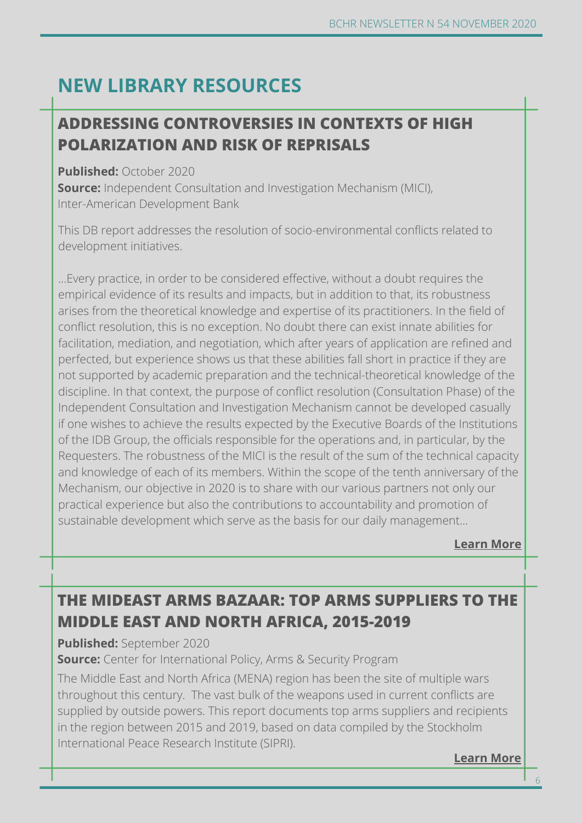### **NEW LIBRARY RESOURCES**

### **Learn more ADDRESSING CONTROVERSIES IN CONTEXTS OF [HIGH](https://www.cityu.edu.hk/slw/lib/doc/HRLF/20200730_(Roundtable_Series_on_NSL)_NSL_on_BHR.pdf) POLARIZATION AND RISK OF REPRISALS**

#### **Published:** October 2020

**Source:** Independent Consultation and Investigation Mechanism (MICI), Inter-American Development Bank

This DB report addresses the resolution of socio-environmental conflicts related to development initiatives.

...Every practice, in order to be considered effective, without a doubt requires the empirical evidence of its results and impacts, but in addition to that, its robustness arises from the theoretical knowledge and expertise of its practitioners. In the field of conflict resolution, this is no exception. No doubt there can exist innate abilities for facilitation, mediation, and negotiation, which after years of application are refined and perfected, but experience shows us that these abilities fall short in practice if they are not supported by academic preparation and the technical-theoretical knowledge of the discipline. In that context, the purpose of conflict resolution (Consultation Phase) of the Independent Consultation and Investigation Mechanism cannot be developed casually if one wishes to achieve the results expected by the Executive Boards of the Institutions of the IDB Group, the officials responsible for the operations and, in particular, by the Requesters. The robustness of the MICI is the result of the sum of the technical capacity and knowledge of each of its members. Within the scope of the tenth anniversary of the Mechanism, our objective in 2020 is to share with our various partners not only our practical experience but also the contributions to accountability and promotion of sustainable development which serve as the basis for our daily management...

**[Learn More](https://media.business-humanrights.org/media/documents/El_abordaje_de_controversias_ES.pdf)**

### **THE MIDEAST ARMS BAZAAR: TOP ARMS SUPPLIERS TO THE MIDDLE EAST AND NORTH AFRICA, 2015-2019**

#### **Published:** September 2020

**Source:** Center for International Policy, Arms & Security Program

The Middle East and North Africa (MENA) region has been the site of multiple wars throughout this century. The vast bulk of the weapons used in current conflicts are supplied by outside powers. This report documents top arms suppliers and recipients in the region between 2015 and 2019, based on data compiled by the Stockholm International Peace Research Institute (SIPRI).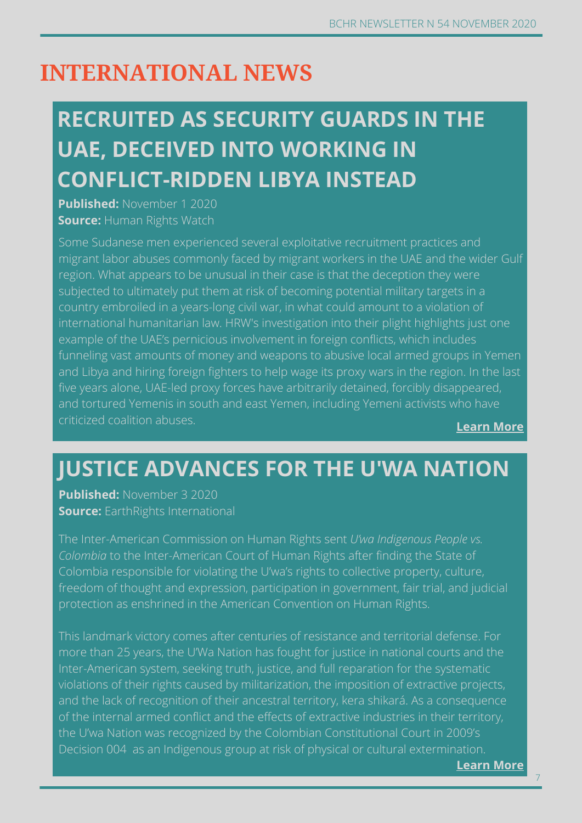### **INTERNATIONAL NEWS**

# **RECRUITED AS SECURITY GUARDS IN THE UAE, DECEIVED INTO WORKING IN CONFLICT-RIDDEN LIBYA INSTEAD**

**Published:** November 1 2020 **Source:** Human Rights Watch

Some Sudanese men experienced several exploitative recruitment practices and migrant labor abuses commonly faced by migrant workers in the UAE and the wider Gulf region. What appears to be unusual in their case is that the deception they were subjected to ultimately put them at risk of becoming potential military targets in a country embroiled in a years-long civil war, in what could amount to a violation of international humanitarian law. HRW's investigation into their plight highlights just one example of the UAE's pernicious involvement in foreign conflicts, which includes funneling vast amounts of money and weapons to abusive local armed groups in Yemen and Libya and hiring foreign fighters to help wage its proxy wars in the region. In the last five years alone, UAE-led proxy forces have arbitrarily detained, forcibly disappeared, and tortured Yemenis in south and east Yemen, including Yemeni activists who have criticized coalition abuses.

**[Learn More](https://www.hrw.org/news/2020/11/01/recruited-security-guards-uae-deceived-working-conflict-ridden-libya-instead)**

### **JUSTICE ADVANCES FOR THE U'WA NATION**

**Published:** November 3 2020 **Source:** EarthRights International

The Inter-American Commission on Human Rights sent *U'wa Indigenous People vs. Colombia* to the Inter-American Court of Human Rights after finding the State of Colombia responsible for violating the U'wa's rights to collective property, culture, freedom of thought and expression, participation in government, fair trial, and judicial protection as enshrined in the American Convention on Human Rights.

**Learn more** Decision 004 as an Indigenous group at risk of physical or cultural exter[mination.](https://www.wsj.com/articles/israel-and-u-a-e-get-down-to-business-11598035520) This landmark victory comes after centuries of resistance and territorial defense. For more than 25 years, the U'Wa Nation has fought for justice in national courts and the Inter-American system, seeking truth, justice, and full reparation for the systematic violations of their rights caused by militarization, the imposition of extractive projects, and the lack of recognition of their ancestral territory, kera shikará. As a consequence of the internal armed conflict and the effects of extractive industries in their territory, the U'wa Nation was recognized by the Colombian Constitutional Court in 2009's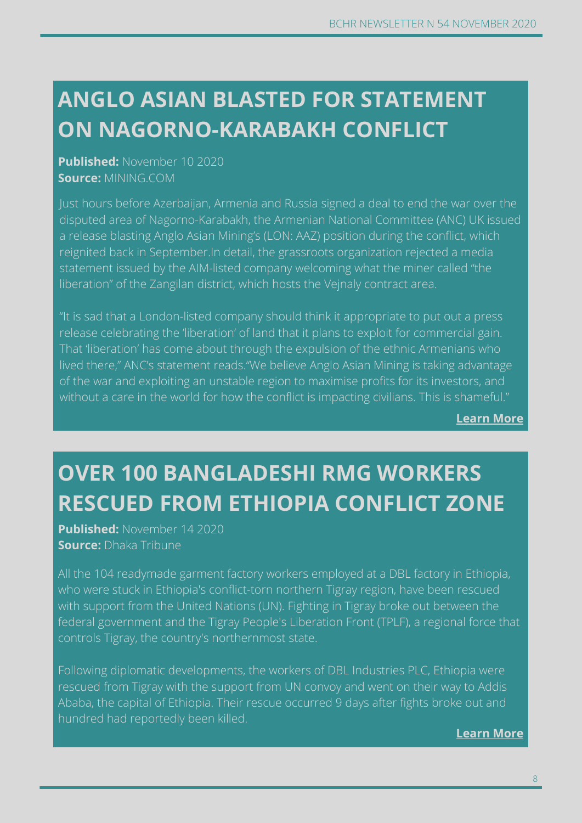# **ON NAGORNO-KARABAKH CONFLICT ANGLO ASIAN BLASTED FOR STATEMENT**

**Concerns of Movember 10, 2020 Published:** November 10 2020 **Source:** MINING.COM

Just hours before Azerbaijan, Armenia and Russia signed a deal to end the war over the disputed area of Nagorno-Karabakh, the Armenian National Committee (ANC) UK issued a release blasting Anglo Asian Mining's (LON: AAZ) position during the conflict, which reignited back in September.In detail, the grassroots organization rejected a media statement issued by the AIM-listed company welcoming what the miner called "the liberation" of the Zangilan district, which hosts the Vejnaly contract area.

**Learn more** without a care in the world for how the conflict is impacting civilians. Thi[s is shameful."](https://www.business-humanrights.org/en/southeast-asia-sees-factory-shutdowns-and-massive-lay-offs-due-to-covid-19-outbreak-0)"It is sad that a London-listed company should think it appropriate to put out a press release celebrating the 'liberation' of land that it plans to exploit for commercial gain. That 'liberation' has come about through the expulsion of the ethnic Armenians who lived there," ANC's statement reads."We believe Anglo Asian Mining is taking advantage of the war and exploiting an unstable region to maximise profits for its investors, and

**[Learn More](https://www.mining.com/anglo-asian-blasted-for-statement-on-nagorno-karabakh-conflict/)**

# **OVER 100 BANGLADESHI RMG WORKERS RESCUED FROM ETHIOPIA CONFLICT ZONE**

**Published:** November 14 2020 **Source:** Dhaka Tribune

All the 104 readymade garment factory workers employed at a DBL factory in Ethiopia, who were stuck in Ethiopia's conflict-torn northern Tigray region, have been rescued with support from the United Nations (UN). Fighting in Tigray broke out between the federal government and the Tigray People's Liberation Front (TPLF), a regional force that controls Tigray, the country's northernmost state.

Following diplomatic developments, the workers of DBL Industries PLC, Ethiopia were rescued from Tigray with the support from UN convoy and went on their way to Addis Ababa, the capital of Ethiopia. Their rescue occurred 9 days after fights broke out and hundred had reportedly been killed.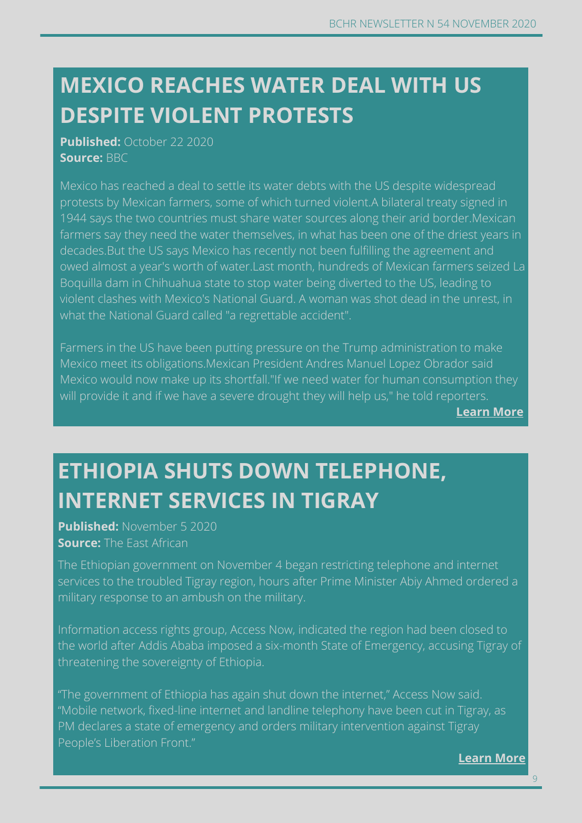### **DESPITE VIOLENT PROTESTS MEXICO REACHES WATER DEAL WITH US**

**Published:** October 22 2020 **Source:** BBC

Mexico has reached a deal to settle its water debts with the US despite widespread protests by Mexican farmers, some of which turned violent.A bilateral treaty signed in 1944 says the two countries must share water sources along their arid border.Mexican farmers say they need the water themselves, in what has been one of the driest years in decades.But the US says Mexico has recently not been fulfilling the agreement and owed almost a year's worth of water.Last month, hundreds of Mexican farmers seized La Boquilla dam in Chihuahua state to stop water being diverted to the US, leading to violent clashes with Mexico's National Guard. A woman was shot dead in the unrest, in what the National Guard called "a regrettable accident".

Farmers in the US have been putting pressure on the Trump administration to make Mexico meet its obligations.Mexican President Andres Manuel Lopez Obrador said Mexico would now make up its shortfall."If we need water for human co[nsumption the](https://www.business-humanrights.org/en/southeast-asia-sees-factory-shutdowns-and-massive-lay-offs-due-to-covid-19-outbreak-0)y will provide it and if we have a severe drought they will help us," he told reporters.

**[Learn More](https://www.bbc.co.uk/news/world-latin-america-54652706)**

# **ETHIOPIA SHUTS DOWN TELEPHONE, INTERNET SERVICES IN TIGRAY**

**Published:** November 5 2020 **Source:** The East African

The Ethiopian government on November 4 began restricting telephone and internet services to the troubled Tigray region, hours after Prime Minister Abiy Ahmed ordered a military response to an ambush on the military.

Information access rights group, Access Now, indicated the region had been closed to the world after Addis Ababa imposed a six-month State of Emergency, accusing Tigray of threatening the sovereignty of Ethiopia.

"The government of Ethiopia has again shut down the internet," Access Now said. "Mobile network, fixed-line internet and landline telephony have been cut in Tigray, as PM declares a state of emergency and orders military intervention against Tigray People's Liberation Front."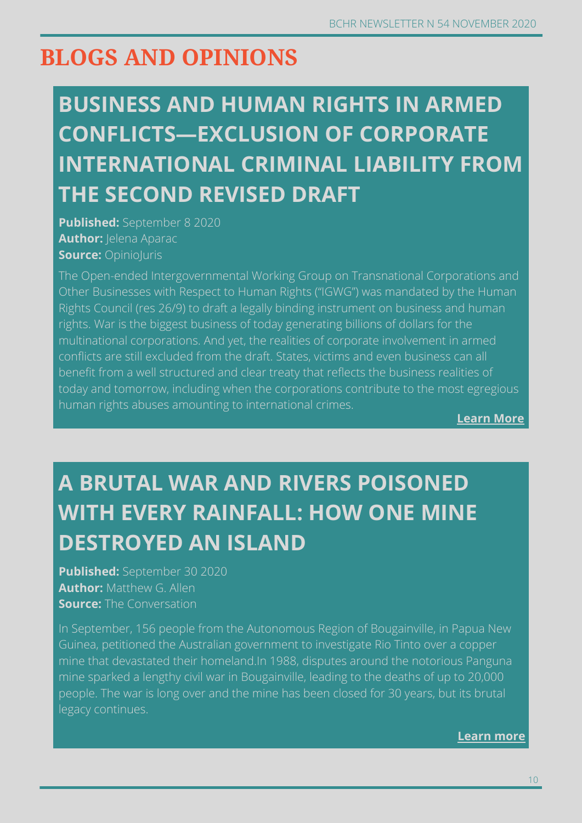### **BLOGS AND OPINIONS**

# **BUSINESS AND HUMAN RIGHTS IN ARMED CONFLICTS—EXCLUSION OF CORPORATE INTERNATIONAL CRIMINAL LIABILITY FROM THE SECOND REVISED DRAFT**

**Published:** September 8 2020 **Author: | elena Aparac Source: Opinioluris** 

The Open-ended Intergovernmental Working Group on Transnational Corporations and Other Businesses with Respect to Human Rights ("IGWG") was mandated by the Human Rights Council (res 26/9) to draft a legally binding instrument on business and human rights. War is the biggest business of today generating billions of dollars for the multinational corporations. And yet, the realities of corporate involvement in armed conflicts are still excluded from the draft. States, victims and even business can all benefit from a well structured and clear treaty that reflects the business realities of today and tomorrow, including when the corporations contribute to the most egregious human rights abuses amounting to international crimes.

**[Learn More](http://opiniojuris.org/2020/09/08/bhr-symposium-business-and-human-rights-in-armed-conflicts-exclusion-of-corporate-international-criminal-liability-from-the-second-draft-treaty/)**

# **A BRUTAL WAR AND RIVERS POISONED WITH EVERY RAINFALL: HOW ONE MINE DESTROYED AN ISLAND**

**Published:** September 30 2020 **Author:** Matthew G. Allen **Source:** The Conversation

In September, 156 people from the Autonomous Region of Bougainville, in Papua New Guinea, petitioned the Australian government to investigate Rio Tinto over a copper mine that devastated their homeland.In 1988, disputes around the notorious Panguna mine sparked a lengthy civil war in Bougainville, leading to the deaths of up to 20,000 people. The war is long over and the mine has been closed for 30 years, but its brutal legacy continues.

**[Learn](https://theconversation.com/a-brutal-war-and-rivers-poisoned-with-every-rainfall-how-one-mine-destroyed-an-island-147092) more**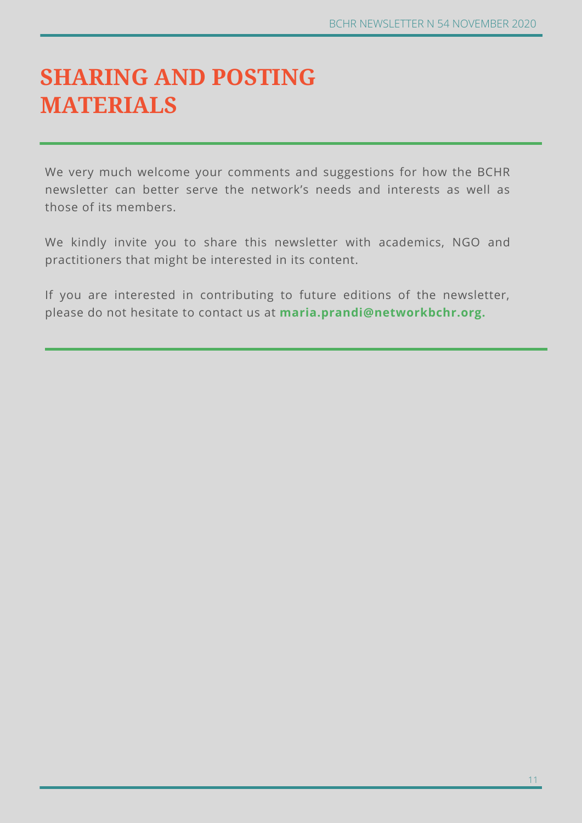### **SHARING AND POSTING MATERIALS**

We very much welcome your comments and suggestions for how the BCHR newsletter can better serve the network's needs and interests as well as those of its members.

We kindly invite you to share this newsletter with academics, NGO and practitioners that might be interested in its content.

If you are interested in contributing to future editions of the newsletter, please do not hesitate to contact us at **maria.prandi@networkbchr.org.**